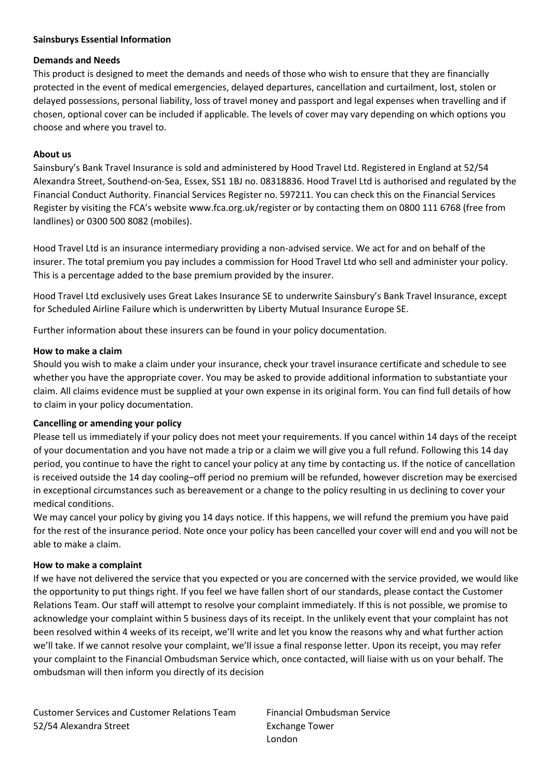## **Sainsburys Essential Information**

#### **Demands and Needs**

This product is designed to meet the demands and needs of those who wish to ensure that they are financially protected in the event of medical emergencies, delayed departures, cancellation and curtailment, lost, stolen or delayed possessions, personal liability, loss of travel money and passport and legal expenses when travelling and if chosen, optional cover can be included if applicable. The levels of cover may vary depending on which options you choose and where you travel to.

# **About us**

Sainsbury's Bank Travel Insurance is sold and administered by Hood Travel Ltd. Registered in England at 52/54 Alexandra Street, Southend-on-Sea, Essex, SS1 1BJ no. 08318836. Hood Travel Ltd is authorised and regulated by the Financial Conduct Authority. Financial Services Register no. 597211. You can check this on the Financial Services Register by visiting the FCA's website www.fca.org.uk/register or by contacting them on 0800 111 6768 (free from landlines) or 0300 500 8082 (mobiles).

Hood Travel Ltd is an insurance intermediary providing a non-advised service. We act for and on behalf of the insurer. The total premium you pay includes a commission for Hood Travel Ltd who sell and administer your policy. This is a percentage added to the base premium provided by the insurer.

Hood Travel Ltd exclusively uses Great Lakes Insurance SE to underwrite Sainsbury's Bank Travel Insurance, except for Scheduled Airline Failure which is underwritten by Liberty Mutual Insurance Europe SE.

Further information about these insurers can be found in your policy documentation.

## **How to make a claim**

Should you wish to make a claim under your insurance, check your travel insurance certificate and schedule to see whether you have the appropriate cover. You may be asked to provide additional information to substantiate your claim. All claims evidence must be supplied at your own expense in its original form. You can find full details of how to claim in your policy documentation.

#### **Cancelling or amending your policy**

Please tell us immediately if your policy does not meet your requirements. If you cancel within 14 days of the receipt of your documentation and you have not made a trip or a claim we will give you a full refund. Following this 14 day period, you continue to have the right to cancel your policy at any time by contacting us. If the notice of cancellation is received outside the 14 day cooling–off period no premium will be refunded, however discretion may be exercised in exceptional circumstances such as bereavement or a change to the policy resulting in us declining to cover your medical conditions.

We may cancel your policy by giving you 14 days notice. If this happens, we will refund the premium you have paid for the rest of the insurance period. Note once your policy has been cancelled your cover will end and you will not be able to make a claim.

#### **How to make a complaint**

If we have not delivered the service that you expected or you are concerned with the service provided, we would like the opportunity to put things right. If you feel we have fallen short of our standards, please contact the Customer Relations Team. Our staff will attempt to resolve your complaint immediately. If this is not possible, we promise to acknowledge your complaint within 5 business days of its receipt. In the unlikely event that your complaint has not been resolved within 4 weeks of its receipt, we'll write and let you know the reasons why and what further action we'll take. If we cannot resolve your complaint, we'll issue a final response letter. Upon its receipt, you may refer your complaint to the Financial Ombudsman Service which, once contacted, will liaise with us on your behalf. The ombudsman will then inform you directly of its decision

Customer Services and Customer Relations Team 52/54 Alexandra Street

Financial Ombudsman Service Exchange Tower London